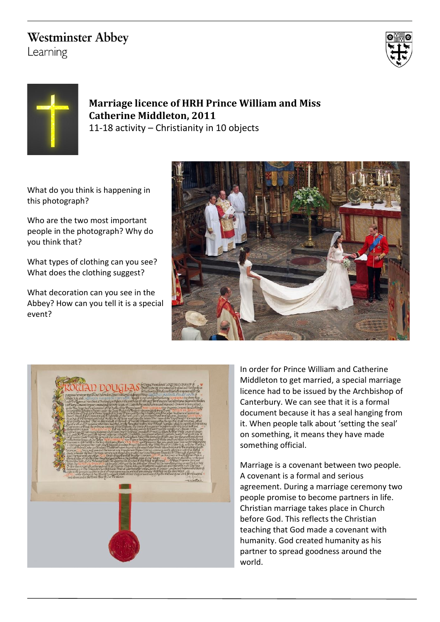# **Westminster Abbey**

Learning





# **Marriage licence of HRH Prince William and Miss Catherine Middleton, 2011** 11-18 activity – Christianity in 10 objects

What do you think is happening in this photograph?

Who are the two most important people in the photograph? Why do you think that?

What types of clothing can you see? What does the clothing suggest?

What decoration can you see in the Abbey? How can you tell it is a special event?





In order for Prince William and Catherine Middleton to get married, a special marriage licence had to be issued by the Archbishop of Canterbury. We can see that it is a formal document because it has a seal hanging from it. When people talk about 'setting the seal' on something, it means they have made something official.

Marriage is a covenant between two people. A covenant is a formal and serious agreement. During a marriage ceremony two people promise to become partners in life. Christian marriage takes place in Church before God. This reflects the Christian teaching that God made a covenant with humanity. God created humanity as his partner to spread goodness around the world.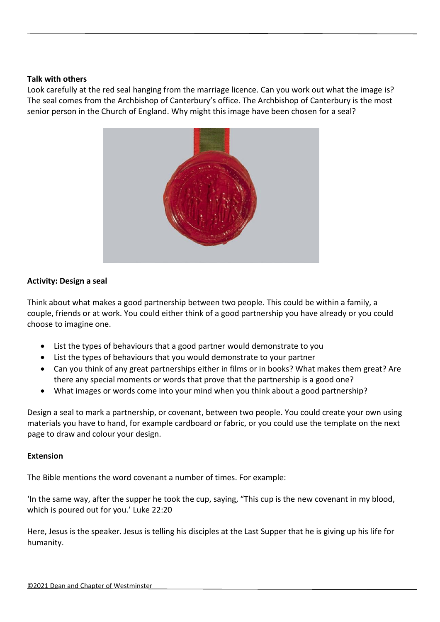### **Talk with others**

Look carefully at the red seal hanging from the marriage licence. Can you work out what the image is? The seal comes from the Archbishop of Canterbury's office. The Archbishop of Canterbury is the most senior person in the Church of England. Why might this image have been chosen for a seal?



# **Activity: Design a seal**

Think about what makes a good partnership between two people. This could be within a family, a couple, friends or at work. You could either think of a good partnership you have already or you could choose to imagine one.

- List the types of behaviours that a good partner would demonstrate to you
- List the types of behaviours that you would demonstrate to your partner
- Can you think of any great partnerships either in films or in books? What makes them great? Are there any special moments or words that prove that the partnership is a good one?
- What images or words come into your mind when you think about a good partnership?

Design a seal to mark a partnership, or covenant, between two people. You could create your own using materials you have to hand, for example cardboard or fabric, or you could use the template on the next page to draw and colour your design.

## **Extension**

The Bible mentions the word covenant a number of times. For example:

'In the same way, after the supper he took the cup, saying, "This cup is the new covenant in my blood, which is poured out for you.' [Luke 22:20](https://www.biblegateway.com/passage/?search=Luke%2022%3A20&version=NIV)

Here, Jesus is the speaker. Jesus is telling his disciples at the Last Supper that he is giving up his life for humanity.